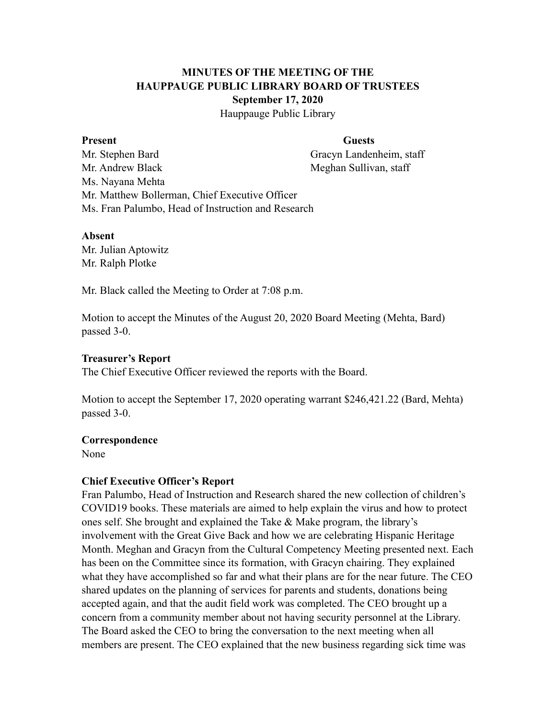# **MINUTES OF THE MEETING OF THE HAUPPAUGE PUBLIC LIBRARY BOARD OF TRUSTEES September 17, 2020**

Hauppauge Public Library

#### Present Guests

Mr. Stephen Bard Gracyn Landenheim, staff Mr. Andrew Black Meghan Sullivan, staff Ms. Nayana Mehta Mr. Matthew Bollerman, Chief Executive Officer Ms. Fran Palumbo, Head of Instruction and Research

### **Absent**

Mr. Julian Aptowitz Mr. Ralph Plotke

Mr. Black called the Meeting to Order at 7:08 p.m.

Motion to accept the Minutes of the August 20, 2020 Board Meeting (Mehta, Bard) passed 3-0.

## **Treasurer's Report**

The Chief Executive Officer reviewed the reports with the Board.

Motion to accept the September 17, 2020 operating warrant \$246,421.22 (Bard, Mehta) passed 3-0.

### **Correspondence**

None

# **Chief Executive Officer's Report**

Fran Palumbo, Head of Instruction and Research shared the new collection of children's COVID19 books. These materials are aimed to help explain the virus and how to protect ones self. She brought and explained the Take & Make program, the library's involvement with the Great Give Back and how we are celebrating Hispanic Heritage Month. Meghan and Gracyn from the Cultural Competency Meeting presented next. Each has been on the Committee since its formation, with Gracyn chairing. They explained what they have accomplished so far and what their plans are for the near future. The CEO shared updates on the planning of services for parents and students, donations being accepted again, and that the audit field work was completed. The CEO brought up a concern from a community member about not having security personnel at the Library. The Board asked the CEO to bring the conversation to the next meeting when all members are present. The CEO explained that the new business regarding sick time was